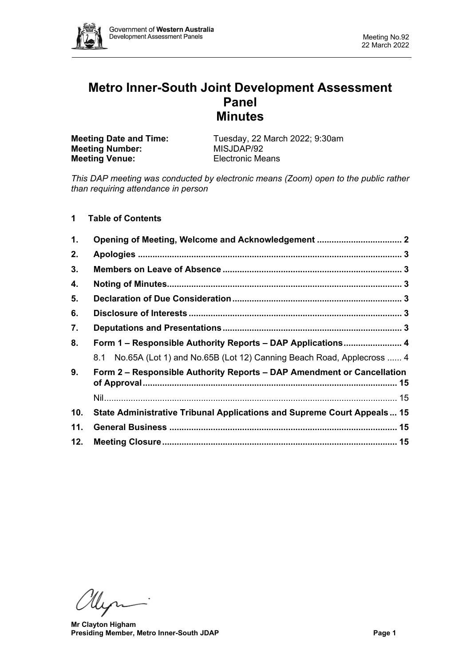

# **Metro Inner-South Joint Development Assessment Panel Minutes**

| <b>Meeting Date and Time:</b> | Tuesday, 22 March 2022; 9:30am |
|-------------------------------|--------------------------------|
| <b>Meeting Number:</b>        | MISJDAP/92                     |
| <b>Meeting Venue:</b>         | <b>Electronic Means</b>        |

*This DAP meeting was conducted by electronic means (Zoom) open to the public rather than requiring attendance in person*

# **1 Table of Contents**

| $\mathbf 1$ . |                                                                                |  |  |  |  |
|---------------|--------------------------------------------------------------------------------|--|--|--|--|
| 2.            |                                                                                |  |  |  |  |
| 3.            |                                                                                |  |  |  |  |
| 4.            |                                                                                |  |  |  |  |
| 5.            |                                                                                |  |  |  |  |
| 6.            |                                                                                |  |  |  |  |
| 7.            |                                                                                |  |  |  |  |
| 8.            | Form 1 – Responsible Authority Reports – DAP Applications 4                    |  |  |  |  |
|               | 8.1 No.65A (Lot 1) and No.65B (Lot 12) Canning Beach Road, Applecross  4       |  |  |  |  |
| 9.            | Form 2 – Responsible Authority Reports – DAP Amendment or Cancellation         |  |  |  |  |
|               |                                                                                |  |  |  |  |
| 10.           | <b>State Administrative Tribunal Applications and Supreme Court Appeals 15</b> |  |  |  |  |
| 11.           |                                                                                |  |  |  |  |
| 12.           |                                                                                |  |  |  |  |

Myri

**Mr Clayton Higham Presiding Member, Metro Inner-South JDAP Page 1**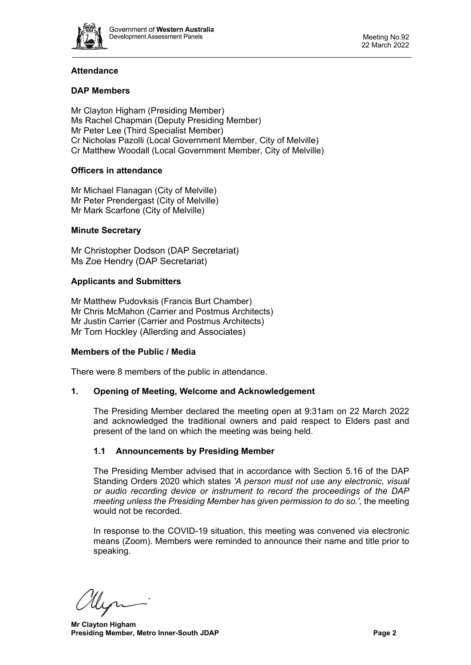

# **Attendance**

# **DAP Members**

Mr Clayton Higham (Presiding Member) Ms Rachel Chapman (Deputy Presiding Member) Mr Peter Lee (Third Specialist Member) Cr Nicholas Pazolli (Local Government Member, City of Melville) Cr Matthew Woodall (Local Government Member, City of Melville)

# **Officers in attendance**

Mr Michael Flanagan (City of Melville) Mr Peter Prendergast (City of Melville) Mr Mark Scarfone (City of Melville)

### **Minute Secretary**

Mr Christopher Dodson (DAP Secretariat) Ms Zoe Hendry (DAP Secretariat)

### **Applicants and Submitters**

Mr Matthew Pudovksis (Francis Burt Chamber) Mr Chris McMahon (Carrier and Postmus Architects) Mr Justin Carrier (Carrier and Postmus Architects) Mr Tom Hockley (Allerding and Associates)

#### **Members of the Public / Media**

<span id="page-1-0"></span>There were 8 members of the public in attendance.

# **1. Opening of Meeting, Welcome and Acknowledgement**

The Presiding Member declared the meeting open at 9:31am on 22 March 2022 and acknowledged the traditional owners and paid respect to Elders past and present of the land on which the meeting was being held.

# **1.1 Announcements by Presiding Member**

The Presiding Member advised that in accordance with Section 5.16 of the DAP Standing Orders 2020 which states *'A person must not use any electronic, visual or audio recording device or instrument to record the proceedings of the DAP meeting unless the Presiding Member has given permission to do so.',* the meeting would not be recorded.

In response to the COVID-19 situation, this meeting was convened via electronic means (Zoom). Members were reminded to announce their name and title prior to speaking.

llen

**Mr Clayton Higham Presiding Member, Metro Inner-South JDAP Page 2 Page 2**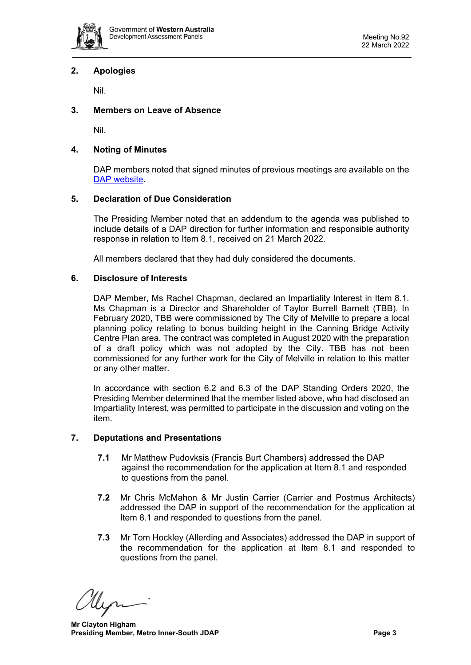

# <span id="page-2-0"></span>**2. Apologies**

Nil.

# <span id="page-2-1"></span>**3. Members on Leave of Absence**

Nil.

# <span id="page-2-2"></span>**4. Noting of Minutes**

DAP members noted that signed minutes of previous meetings are available on the [DAP website.](https://www.dplh.wa.gov.au/about/development-assessment-panels/daps-agendas-and-minutes)

# <span id="page-2-3"></span>**5. Declaration of Due Consideration**

The Presiding Member noted that an addendum to the agenda was published to include details of a DAP direction for further information and responsible authority response in relation to Item 8.1, received on 21 March 2022.

All members declared that they had duly considered the documents.

# <span id="page-2-4"></span>**6. Disclosure of Interests**

DAP Member, Ms Rachel Chapman, declared an Impartiality Interest in Item 8.1. Ms Chapman is a Director and Shareholder of Taylor Burrell Barnett (TBB). In February 2020, TBB were commissioned by The City of Melville to prepare a local planning policy relating to bonus building height in the Canning Bridge Activity Centre Plan area. The contract was completed in August 2020 with the preparation of a draft policy which was not adopted by the City. TBB has not been commissioned for any further work for the City of Melville in relation to this matter or any other matter.

In accordance with section 6.2 and 6.3 of the DAP Standing Orders 2020, the Presiding Member determined that the member listed above, who had disclosed an Impartiality Interest, was permitted to participate in the discussion and voting on the item.

# <span id="page-2-5"></span>**7. Deputations and Presentations**

- **7.1** Mr Matthew Pudovksis (Francis Burt Chambers) addressed the DAP against the recommendation for the application at Item 8.1 and responded to questions from the panel.
- **7.2** Mr Chris McMahon & Mr Justin Carrier (Carrier and Postmus Architects) addressed the DAP in support of the recommendation for the application at Item 8.1 and responded to questions from the panel.
- **7.3** Mr Tom Hockley (Allerding and Associates) addressed the DAP in support of the recommendation for the application at Item 8.1 and responded to questions from the panel.

**Mr Clayton Higham Presiding Member, Metro Inner-South JDAP Page 3 Page 3**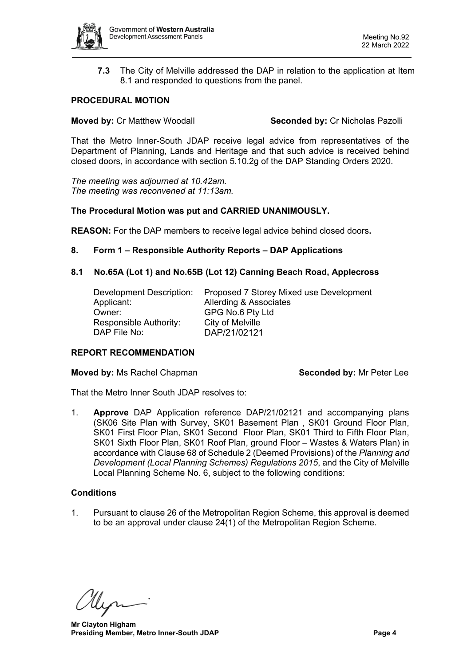

**7.3** The City of Melville addressed the DAP in relation to the application at Item 8.1 and responded to questions from the panel.

# **PROCEDURAL MOTION**

**Moved by:** Cr Matthew Woodall **Seconded by:** Cr Nicholas Pazolli

That the Metro Inner-South JDAP receive legal advice from representatives of the Department of Planning, Lands and Heritage and that such advice is received behind closed doors, in accordance with section 5.10.2g of the DAP Standing Orders 2020.

*The meeting was adjourned at 10.42am. The meeting was reconvened at 11:13am.*

#### **The Procedural Motion was put and CARRIED UNANIMOUSLY.**

<span id="page-3-0"></span>**REASON:** For the DAP members to receive legal advice behind closed doors**.**

#### **8. Form 1 – Responsible Authority Reports – DAP Applications**

#### <span id="page-3-1"></span>**8.1 No.65A (Lot 1) and No.65B (Lot 12) Canning Beach Road, Applecross**

| Development Description:      | Proposed 7 Storey Mixed use Development |
|-------------------------------|-----------------------------------------|
| Applicant:                    | Allerding & Associates                  |
| Owner:                        | GPG No.6 Pty Ltd                        |
| <b>Responsible Authority:</b> | City of Melville                        |
| DAP File No:                  | DAP/21/02121                            |

#### **REPORT RECOMMENDATION**

**Moved by:** Ms Rachel Chapman **Seconded by:** Mr Peter Lee

That the Metro Inner South JDAP resolves to:

1. **Approve** DAP Application reference DAP/21/02121 and accompanying plans (SK06 Site Plan with Survey, SK01 Basement Plan , SK01 Ground Floor Plan, SK01 First Floor Plan, SK01 Second Floor Plan, SK01 Third to Fifth Floor Plan, SK01 Sixth Floor Plan, SK01 Roof Plan, ground Floor – Wastes & Waters Plan) in accordance with Clause 68 of Schedule 2 (Deemed Provisions) of the *Planning and Development (Local Planning Schemes) Regulations 2015*, and the City of Melville Local Planning Scheme No. 6, subject to the following conditions:

#### **Conditions**

1. Pursuant to clause 26 of the Metropolitan Region Scheme, this approval is deemed to be an approval under clause 24(1) of the Metropolitan Region Scheme.

Hen

**Mr Clayton Higham Presiding Member, Metro Inner-South JDAP Page 4 Page 4**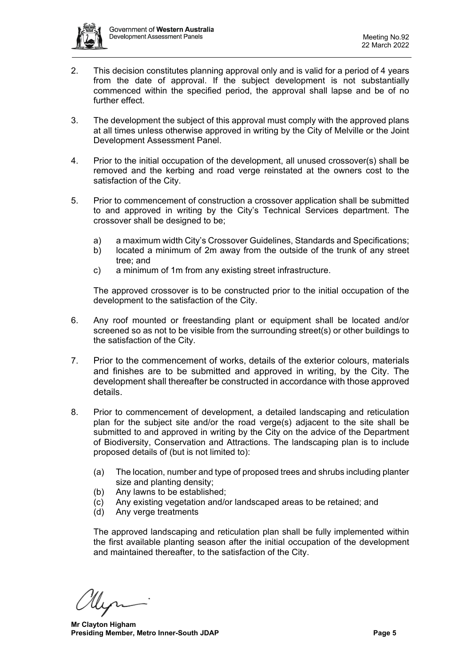

- 2. This decision constitutes planning approval only and is valid for a period of 4 years from the date of approval. If the subject development is not substantially commenced within the specified period, the approval shall lapse and be of no further effect.
- 3. The development the subject of this approval must comply with the approved plans at all times unless otherwise approved in writing by the City of Melville or the Joint Development Assessment Panel.
- 4. Prior to the initial occupation of the development, all unused crossover(s) shall be removed and the kerbing and road verge reinstated at the owners cost to the satisfaction of the City.
- 5. Prior to commencement of construction a crossover application shall be submitted to and approved in writing by the City's Technical Services department. The crossover shall be designed to be;
	- a) a maximum width City's Crossover Guidelines, Standards and Specifications;
	- b) located a minimum of 2m away from the outside of the trunk of any street tree; and
	- c) a minimum of 1m from any existing street infrastructure.

The approved crossover is to be constructed prior to the initial occupation of the development to the satisfaction of the City.

- 6. Any roof mounted or freestanding plant or equipment shall be located and/or screened so as not to be visible from the surrounding street(s) or other buildings to the satisfaction of the City.
- 7. Prior to the commencement of works, details of the exterior colours, materials and finishes are to be submitted and approved in writing, by the City. The development shall thereafter be constructed in accordance with those approved details.
- 8. Prior to commencement of development, a detailed landscaping and reticulation plan for the subject site and/or the road verge(s) adjacent to the site shall be submitted to and approved in writing by the City on the advice of the Department of Biodiversity, Conservation and Attractions. The landscaping plan is to include proposed details of (but is not limited to):
	- (a) The location, number and type of proposed trees and shrubs including planter size and planting density;
	- (b) Any lawns to be established;
	- (c) Any existing vegetation and/or landscaped areas to be retained; and
	- (d) Any verge treatments

The approved landscaping and reticulation plan shall be fully implemented within the first available planting season after the initial occupation of the development and maintained thereafter, to the satisfaction of the City.

**Mr Clayton Higham Presiding Member, Metro Inner-South JDAP Page 5 Page 5**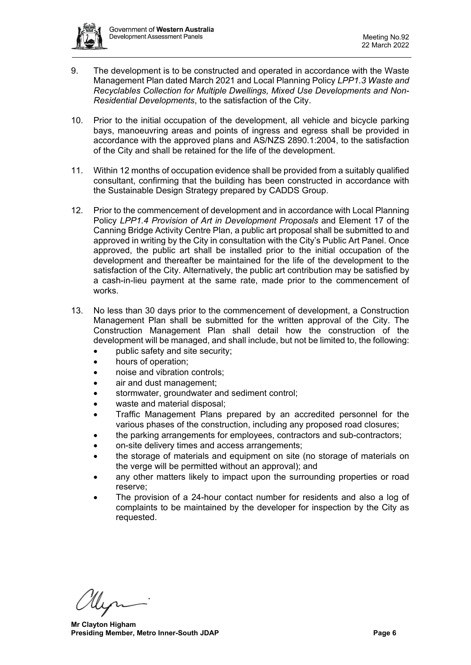

- 9. The development is to be constructed and operated in accordance with the Waste Management Plan dated March 2021 and Local Planning Policy *LPP1.3 Waste and Recyclables Collection for Multiple Dwellings, Mixed Use Developments and Non-Residential Developments*, to the satisfaction of the City.
- 10. Prior to the initial occupation of the development, all vehicle and bicycle parking bays, manoeuvring areas and points of ingress and egress shall be provided in accordance with the approved plans and AS/NZS 2890.1:2004, to the satisfaction of the City and shall be retained for the life of the development.
- 11. Within 12 months of occupation evidence shall be provided from a suitably qualified consultant, confirming that the building has been constructed in accordance with the Sustainable Design Strategy prepared by CADDS Group.
- 12. Prior to the commencement of development and in accordance with Local Planning Policy *LPP1.4 Provision of Art in Development Proposals* and Element 17 of the Canning Bridge Activity Centre Plan, a public art proposal shall be submitted to and approved in writing by the City in consultation with the City's Public Art Panel. Once approved, the public art shall be installed prior to the initial occupation of the development and thereafter be maintained for the life of the development to the satisfaction of the City. Alternatively, the public art contribution may be satisfied by a cash-in-lieu payment at the same rate, made prior to the commencement of works.
- 13. No less than 30 days prior to the commencement of development, a Construction Management Plan shall be submitted for the written approval of the City. The Construction Management Plan shall detail how the construction of the development will be managed, and shall include, but not be limited to, the following:
	- public safety and site security;
	- hours of operation;
	- noise and vibration controls:
	- air and dust management;
	- stormwater, groundwater and sediment control;
	- waste and material disposal;
	- Traffic Management Plans prepared by an accredited personnel for the various phases of the construction, including any proposed road closures;
	- the parking arrangements for employees, contractors and sub-contractors;
	- on-site delivery times and access arrangements;
	- the storage of materials and equipment on site (no storage of materials on the verge will be permitted without an approval); and
	- any other matters likely to impact upon the surrounding properties or road reserve;
	- The provision of a 24-hour contact number for residents and also a log of complaints to be maintained by the developer for inspection by the City as requested.

**Mr Clayton Higham Presiding Member, Metro Inner-South JDAP Page 6 Page 6**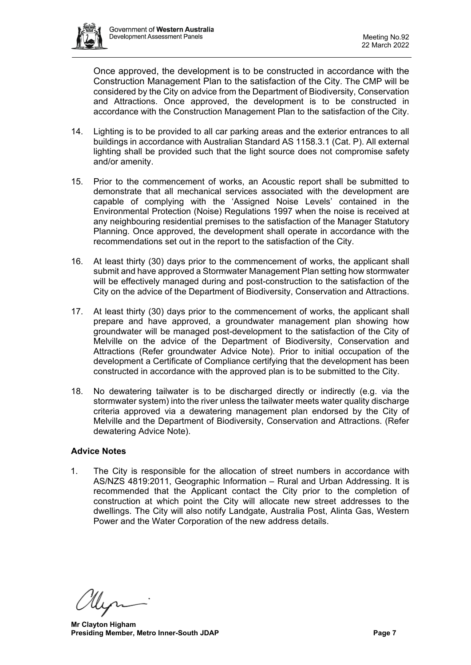

Once approved, the development is to be constructed in accordance with the Construction Management Plan to the satisfaction of the City. The CMP will be considered by the City on advice from the Department of Biodiversity, Conservation and Attractions. Once approved, the development is to be constructed in accordance with the Construction Management Plan to the satisfaction of the City.

- 14. Lighting is to be provided to all car parking areas and the exterior entrances to all buildings in accordance with Australian Standard AS 1158.3.1 (Cat. P). All external lighting shall be provided such that the light source does not compromise safety and/or amenity.
- 15. Prior to the commencement of works, an Acoustic report shall be submitted to demonstrate that all mechanical services associated with the development are capable of complying with the 'Assigned Noise Levels' contained in the Environmental Protection (Noise) Regulations 1997 when the noise is received at any neighbouring residential premises to the satisfaction of the Manager Statutory Planning. Once approved, the development shall operate in accordance with the recommendations set out in the report to the satisfaction of the City.
- 16. At least thirty (30) days prior to the commencement of works, the applicant shall submit and have approved a Stormwater Management Plan setting how stormwater will be effectively managed during and post-construction to the satisfaction of the City on the advice of the Department of Biodiversity, Conservation and Attractions.
- 17. At least thirty (30) days prior to the commencement of works, the applicant shall prepare and have approved, a groundwater management plan showing how groundwater will be managed post-development to the satisfaction of the City of Melville on the advice of the Department of Biodiversity, Conservation and Attractions (Refer groundwater Advice Note). Prior to initial occupation of the development a Certificate of Compliance certifying that the development has been constructed in accordance with the approved plan is to be submitted to the City.
- 18. No dewatering tailwater is to be discharged directly or indirectly (e.g. via the stormwater system) into the river unless the tailwater meets water quality discharge criteria approved via a dewatering management plan endorsed by the City of Melville and the Department of Biodiversity, Conservation and Attractions. (Refer dewatering Advice Note).

# **Advice Notes**

1. The City is responsible for the allocation of street numbers in accordance with AS/NZS 4819:2011, Geographic Information – Rural and Urban Addressing. It is recommended that the Applicant contact the City prior to the completion of construction at which point the City will allocate new street addresses to the dwellings. The City will also notify Landgate, Australia Post, Alinta Gas, Western Power and the Water Corporation of the new address details.

**Mr Clayton Higham Presiding Member, Metro Inner-South JDAP Page 7 Page 7**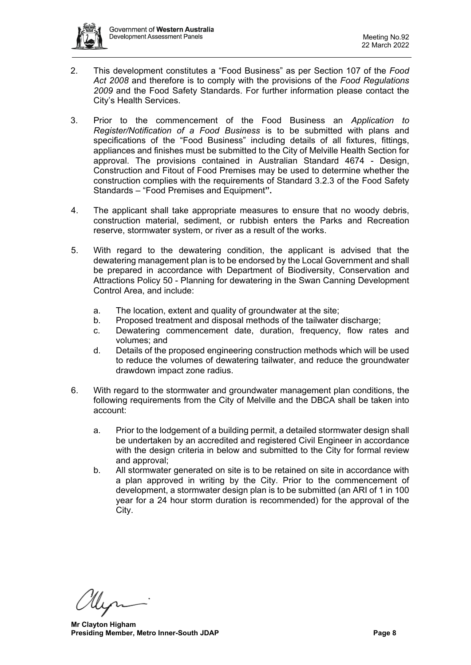

- 2. This development constitutes a "Food Business" as per Section 107 of the *Food Act 2008* and therefore is to comply with the provisions of the *Food Regulations 2009* and the Food Safety Standards. For further information please contact the City's Health Services.
- 3. Prior to the commencement of the Food Business an *Application to Register/Notification of a Food Business* is to be submitted with plans and specifications of the "Food Business" including details of all fixtures, fittings, appliances and finishes must be submitted to the City of Melville Health Section for approval. The provisions contained in Australian Standard 4674 - Design, Construction and Fitout of Food Premises may be used to determine whether the construction complies with the requirements of Standard 3.2.3 of the Food Safety Standards – "Food Premises and Equipment**".**
- 4. The applicant shall take appropriate measures to ensure that no woody debris, construction material, sediment, or rubbish enters the Parks and Recreation reserve, stormwater system, or river as a result of the works.
- 5. With regard to the dewatering condition, the applicant is advised that the dewatering management plan is to be endorsed by the Local Government and shall be prepared in accordance with Department of Biodiversity, Conservation and Attractions Policy 50 - Planning for dewatering in the Swan Canning Development Control Area, and include:
	- a. The location, extent and quality of groundwater at the site;
	- b. Proposed treatment and disposal methods of the tailwater discharge;
	- c. Dewatering commencement date, duration, frequency, flow rates and volumes; and
	- d. Details of the proposed engineering construction methods which will be used to reduce the volumes of dewatering tailwater, and reduce the groundwater drawdown impact zone radius.
- 6. With regard to the stormwater and groundwater management plan conditions, the following requirements from the City of Melville and the DBCA shall be taken into account:
	- a. Prior to the lodgement of a building permit, a detailed stormwater design shall be undertaken by an accredited and registered Civil Engineer in accordance with the design criteria in below and submitted to the City for formal review and approval;
	- b. All stormwater generated on site is to be retained on site in accordance with a plan approved in writing by the City. Prior to the commencement of development, a stormwater design plan is to be submitted (an ARI of 1 in 100 year for a 24 hour storm duration is recommended) for the approval of the City.

**Mr Clayton Higham Presiding Member, Metro Inner-South JDAP Page 8**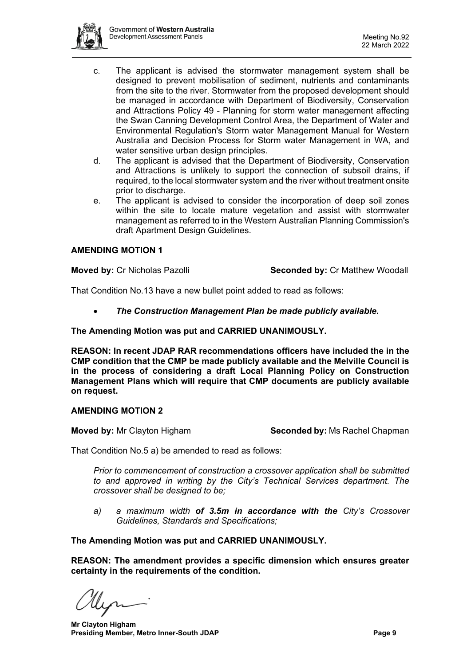

- c. The applicant is advised the stormwater management system shall be designed to prevent mobilisation of sediment, nutrients and contaminants from the site to the river. Stormwater from the proposed development should be managed in accordance with Department of Biodiversity, Conservation and Attractions Policy 49 - Planning for storm water management affecting the Swan Canning Development Control Area, the Department of Water and Environmental Regulation's Storm water Management Manual for Western Australia and Decision Process for Storm water Management in WA, and water sensitive urban design principles.
- d. The applicant is advised that the Department of Biodiversity, Conservation and Attractions is unlikely to support the connection of subsoil drains, if required, to the local stormwater system and the river without treatment onsite prior to discharge.
- e. The applicant is advised to consider the incorporation of deep soil zones within the site to locate mature vegetation and assist with stormwater management as referred to in the Western Australian Planning Commission's draft Apartment Design Guidelines.

### **AMENDING MOTION 1**

#### **Moved by:** Cr Nicholas Pazolli **Seconded by:** Cr Matthew Woodall

That Condition No.13 have a new bullet point added to read as follows:

• *The Construction Management Plan be made publicly available.*

### **The Amending Motion was put and CARRIED UNANIMOUSLY.**

**REASON: In recent JDAP RAR recommendations officers have included the in the CMP condition that the CMP be made publicly available and the Melville Council is in the process of considering a draft Local Planning Policy on Construction Management Plans which will require that CMP documents are publicly available on request.**

### **AMENDING MOTION 2**

**Moved by:** Mr Clayton Higham **Seconded by:** Ms Rachel Chapman

That Condition No.5 a) be amended to read as follows:

*Prior to commencement of construction a crossover application shall be submitted to and approved in writing by the City's Technical Services department. The crossover shall be designed to be;*

*a) a maximum width of 3.5m in accordance with the City's Crossover Guidelines, Standards and Specifications;* 

**The Amending Motion was put and CARRIED UNANIMOUSLY.**

**REASON: The amendment provides a specific dimension which ensures greater certainty in the requirements of the condition.**

Myr

**Mr Clayton Higham Presiding Member, Metro Inner-South JDAP Page 9 Page 9**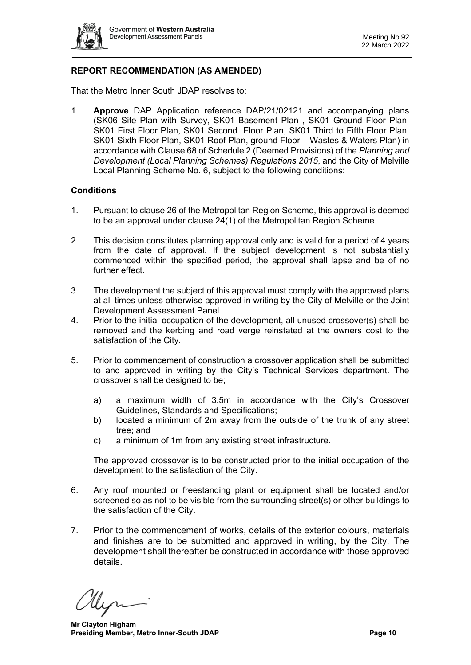

# **REPORT RECOMMENDATION (AS AMENDED)**

That the Metro Inner South JDAP resolves to:

1. **Approve** DAP Application reference DAP/21/02121 and accompanying plans (SK06 Site Plan with Survey, SK01 Basement Plan , SK01 Ground Floor Plan, SK01 First Floor Plan, SK01 Second Floor Plan, SK01 Third to Fifth Floor Plan, SK01 Sixth Floor Plan, SK01 Roof Plan, ground Floor – Wastes & Waters Plan) in accordance with Clause 68 of Schedule 2 (Deemed Provisions) of the *Planning and Development (Local Planning Schemes) Regulations 2015*, and the City of Melville Local Planning Scheme No. 6, subject to the following conditions:

### **Conditions**

- 1. Pursuant to clause 26 of the Metropolitan Region Scheme, this approval is deemed to be an approval under clause 24(1) of the Metropolitan Region Scheme.
- 2. This decision constitutes planning approval only and is valid for a period of 4 years from the date of approval. If the subject development is not substantially commenced within the specified period, the approval shall lapse and be of no further effect.
- 3. The development the subject of this approval must comply with the approved plans at all times unless otherwise approved in writing by the City of Melville or the Joint Development Assessment Panel.
- 4. Prior to the initial occupation of the development, all unused crossover(s) shall be removed and the kerbing and road verge reinstated at the owners cost to the satisfaction of the City.
- 5. Prior to commencement of construction a crossover application shall be submitted to and approved in writing by the City's Technical Services department. The crossover shall be designed to be;
	- a) a maximum width of 3.5m in accordance with the City's Crossover Guidelines, Standards and Specifications;
	- b) located a minimum of 2m away from the outside of the trunk of any street tree; and
	- c) a minimum of 1m from any existing street infrastructure.

The approved crossover is to be constructed prior to the initial occupation of the development to the satisfaction of the City.

- 6. Any roof mounted or freestanding plant or equipment shall be located and/or screened so as not to be visible from the surrounding street(s) or other buildings to the satisfaction of the City.
- 7. Prior to the commencement of works, details of the exterior colours, materials and finishes are to be submitted and approved in writing, by the City. The development shall thereafter be constructed in accordance with those approved details.

**Mr Clayton Higham Presiding Member, Metro Inner-South JDAP Page 10 Page 10**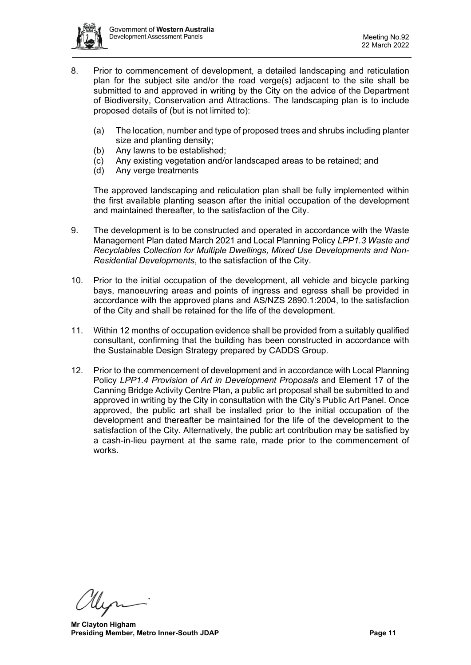

- 8. Prior to commencement of development, a detailed landscaping and reticulation plan for the subject site and/or the road verge(s) adjacent to the site shall be submitted to and approved in writing by the City on the advice of the Department of Biodiversity, Conservation and Attractions. The landscaping plan is to include proposed details of (but is not limited to):
	- (a) The location, number and type of proposed trees and shrubs including planter size and planting density;
	- (b) Any lawns to be established;
	- (c) Any existing vegetation and/or landscaped areas to be retained; and
	- (d) Any verge treatments

The approved landscaping and reticulation plan shall be fully implemented within the first available planting season after the initial occupation of the development and maintained thereafter, to the satisfaction of the City.

- 9. The development is to be constructed and operated in accordance with the Waste Management Plan dated March 2021 and Local Planning Policy *LPP1.3 Waste and Recyclables Collection for Multiple Dwellings, Mixed Use Developments and Non-Residential Developments*, to the satisfaction of the City.
- 10. Prior to the initial occupation of the development, all vehicle and bicycle parking bays, manoeuvring areas and points of ingress and egress shall be provided in accordance with the approved plans and AS/NZS 2890.1:2004, to the satisfaction of the City and shall be retained for the life of the development.
- 11. Within 12 months of occupation evidence shall be provided from a suitably qualified consultant, confirming that the building has been constructed in accordance with the Sustainable Design Strategy prepared by CADDS Group.
- 12. Prior to the commencement of development and in accordance with Local Planning Policy *LPP1.4 Provision of Art in Development Proposals* and Element 17 of the Canning Bridge Activity Centre Plan, a public art proposal shall be submitted to and approved in writing by the City in consultation with the City's Public Art Panel. Once approved, the public art shall be installed prior to the initial occupation of the development and thereafter be maintained for the life of the development to the satisfaction of the City. Alternatively, the public art contribution may be satisfied by a cash-in-lieu payment at the same rate, made prior to the commencement of works.

**Mr Clayton Higham Presiding Member, Metro Inner-South JDAP Page 11 Page 11**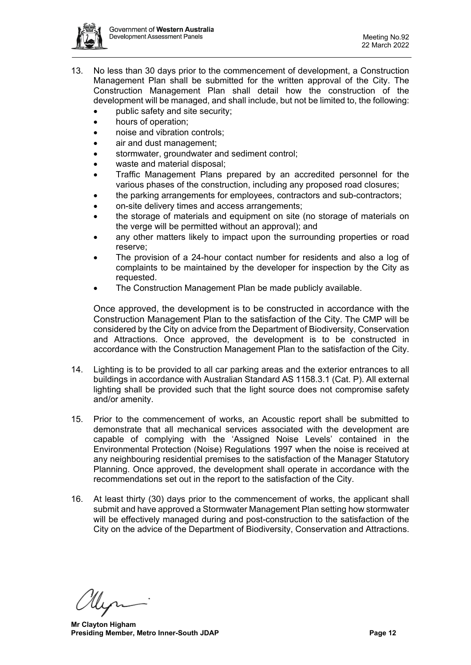

- 13. No less than 30 days prior to the commencement of development, a Construction Management Plan shall be submitted for the written approval of the City. The Construction Management Plan shall detail how the construction of the development will be managed, and shall include, but not be limited to, the following:
	- public safety and site security;
	- hours of operation;
	- noise and vibration controls;
	- air and dust management;
	- stormwater, groundwater and sediment control;
	- waste and material disposal;
	- Traffic Management Plans prepared by an accredited personnel for the various phases of the construction, including any proposed road closures;
	- the parking arrangements for employees, contractors and sub-contractors;
	- on-site delivery times and access arrangements;
	- the storage of materials and equipment on site (no storage of materials on the verge will be permitted without an approval); and
	- any other matters likely to impact upon the surrounding properties or road reserve;
	- The provision of a 24-hour contact number for residents and also a log of complaints to be maintained by the developer for inspection by the City as requested.
	- The Construction Management Plan be made publicly available.

Once approved, the development is to be constructed in accordance with the Construction Management Plan to the satisfaction of the City. The CMP will be considered by the City on advice from the Department of Biodiversity, Conservation and Attractions. Once approved, the development is to be constructed in accordance with the Construction Management Plan to the satisfaction of the City.

- 14. Lighting is to be provided to all car parking areas and the exterior entrances to all buildings in accordance with Australian Standard AS 1158.3.1 (Cat. P). All external lighting shall be provided such that the light source does not compromise safety and/or amenity.
- 15. Prior to the commencement of works, an Acoustic report shall be submitted to demonstrate that all mechanical services associated with the development are capable of complying with the 'Assigned Noise Levels' contained in the Environmental Protection (Noise) Regulations 1997 when the noise is received at any neighbouring residential premises to the satisfaction of the Manager Statutory Planning. Once approved, the development shall operate in accordance with the recommendations set out in the report to the satisfaction of the City.
- 16. At least thirty (30) days prior to the commencement of works, the applicant shall submit and have approved a Stormwater Management Plan setting how stormwater will be effectively managed during and post-construction to the satisfaction of the City on the advice of the Department of Biodiversity, Conservation and Attractions.

**Mr Clayton Higham Presiding Member, Metro Inner-South JDAP Page 12 Page 12**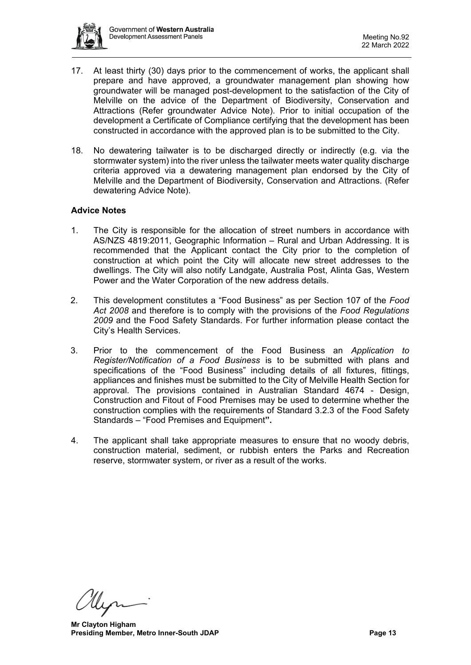

- 17. At least thirty (30) days prior to the commencement of works, the applicant shall prepare and have approved, a groundwater management plan showing how groundwater will be managed post-development to the satisfaction of the City of Melville on the advice of the Department of Biodiversity, Conservation and Attractions (Refer groundwater Advice Note). Prior to initial occupation of the development a Certificate of Compliance certifying that the development has been constructed in accordance with the approved plan is to be submitted to the City.
- 18. No dewatering tailwater is to be discharged directly or indirectly (e.g. via the stormwater system) into the river unless the tailwater meets water quality discharge criteria approved via a dewatering management plan endorsed by the City of Melville and the Department of Biodiversity, Conservation and Attractions. (Refer dewatering Advice Note).

# **Advice Notes**

- 1. The City is responsible for the allocation of street numbers in accordance with AS/NZS 4819:2011, Geographic Information – Rural and Urban Addressing. It is recommended that the Applicant contact the City prior to the completion of construction at which point the City will allocate new street addresses to the dwellings. The City will also notify Landgate, Australia Post, Alinta Gas, Western Power and the Water Corporation of the new address details.
- 2. This development constitutes a "Food Business" as per Section 107 of the *Food Act 2008* and therefore is to comply with the provisions of the *Food Regulations 2009* and the Food Safety Standards. For further information please contact the City's Health Services.
- 3. Prior to the commencement of the Food Business an *Application to Register/Notification of a Food Business* is to be submitted with plans and specifications of the "Food Business" including details of all fixtures, fittings, appliances and finishes must be submitted to the City of Melville Health Section for approval. The provisions contained in Australian Standard 4674 - Design, Construction and Fitout of Food Premises may be used to determine whether the construction complies with the requirements of Standard 3.2.3 of the Food Safety Standards – "Food Premises and Equipment**".**
- 4. The applicant shall take appropriate measures to ensure that no woody debris, construction material, sediment, or rubbish enters the Parks and Recreation reserve, stormwater system, or river as a result of the works.

**Mr Clayton Higham Presiding Member, Metro Inner-South JDAP Page 13 Page 13**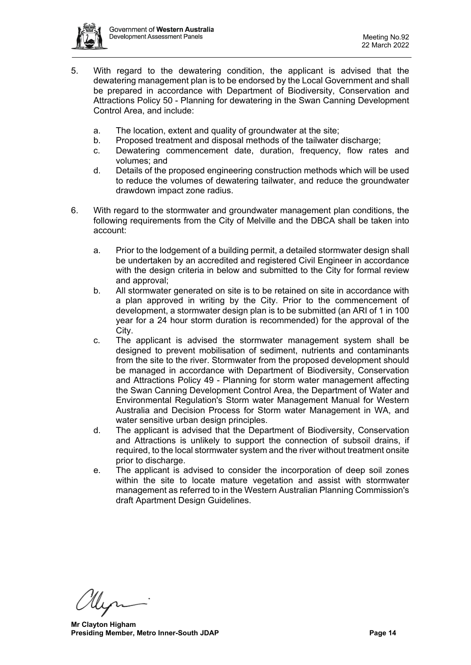

- 5. With regard to the dewatering condition, the applicant is advised that the dewatering management plan is to be endorsed by the Local Government and shall be prepared in accordance with Department of Biodiversity, Conservation and Attractions Policy 50 - Planning for dewatering in the Swan Canning Development Control Area, and include:
	- a. The location, extent and quality of groundwater at the site;
	- b. Proposed treatment and disposal methods of the tailwater discharge;
	- c. Dewatering commencement date, duration, frequency, flow rates and volumes; and
	- d. Details of the proposed engineering construction methods which will be used to reduce the volumes of dewatering tailwater, and reduce the groundwater drawdown impact zone radius.
- 6. With regard to the stormwater and groundwater management plan conditions, the following requirements from the City of Melville and the DBCA shall be taken into account:
	- a. Prior to the lodgement of a building permit, a detailed stormwater design shall be undertaken by an accredited and registered Civil Engineer in accordance with the design criteria in below and submitted to the City for formal review and approval;
	- b. All stormwater generated on site is to be retained on site in accordance with a plan approved in writing by the City. Prior to the commencement of development, a stormwater design plan is to be submitted (an ARI of 1 in 100 year for a 24 hour storm duration is recommended) for the approval of the City.
	- c. The applicant is advised the stormwater management system shall be designed to prevent mobilisation of sediment, nutrients and contaminants from the site to the river. Stormwater from the proposed development should be managed in accordance with Department of Biodiversity, Conservation and Attractions Policy 49 - Planning for storm water management affecting the Swan Canning Development Control Area, the Department of Water and Environmental Regulation's Storm water Management Manual for Western Australia and Decision Process for Storm water Management in WA, and water sensitive urban design principles.
	- d. The applicant is advised that the Department of Biodiversity, Conservation and Attractions is unlikely to support the connection of subsoil drains, if required, to the local stormwater system and the river without treatment onsite prior to discharge.
	- e. The applicant is advised to consider the incorporation of deep soil zones within the site to locate mature vegetation and assist with stormwater management as referred to in the Western Australian Planning Commission's draft Apartment Design Guidelines.

llin

**Mr Clayton Higham Presiding Member, Metro Inner-South JDAP Page 14 Page 14**